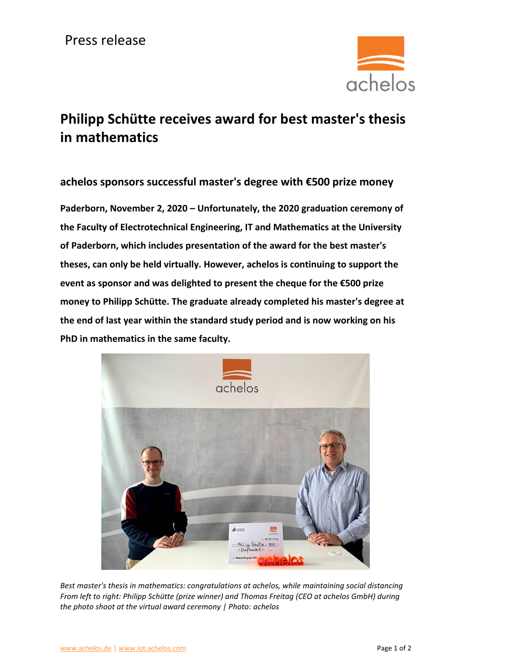

## **Philipp Schütte receives award for best master's thesis in mathematics**

**achelos sponsors successful master's degree with €500 prize money**

**Paderborn, November 2, 2020 – Unfortunately, the 2020 graduation ceremony of the Faculty of Electrotechnical Engineering, IT and Mathematics at the University of Paderborn, which includes presentation of the award for the best master's theses, can only be held virtually. However, achelos is continuing to support the event as sponsor and was delighted to present the cheque for the €500 prize money to Philipp Schütte. The graduate already completed his master's degree at the end of last year within the standard study period and is now working on his PhD in mathematics in the same faculty.**



*Best master's thesis in mathematics: congratulations at achelos, while maintaining social distancing From left to right: Philipp Schütte (prize winner) and Thomas Freitag (CEO at achelos GmbH) during the photo shoot at the virtual award ceremony | Photo: achelos*